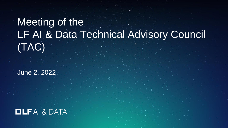# Meeting of the LF AI & Data Technical Advisory Council (TAC)

June 2, 2022

# $IIFAI & DATA$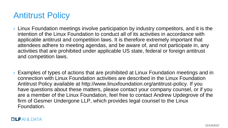# Antitrust Policy

- › Linux Foundation meetings involve participation by industry competitors, and it is the intention of the Linux Foundation to conduct all of its activities in accordance with applicable antitrust and competition laws. It is therefore extremely important that attendees adhere to meeting agendas, and be aware of, and not participate in, any activities that are prohibited under applicable US state, federal or foreign antitrust and competition laws.
- › Examples of types of actions that are prohibited at Linux Foundation meetings and in connection with Linux Foundation activities are described in the Linux Foundation Antitrust Policy available at http://www.linuxfoundation.org/antitrust-policy. If you have questions about these matters, please contact your company counsel, or if you are a member of the Linux Foundation, feel free to contact Andrew Updegrove of the firm of Gesmer Undergone LLP, which provides legal counsel to the Linux Foundation.

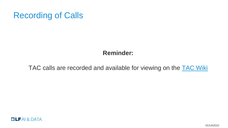# Recording of Calls

## **Reminder:**

## TAC calls are recorded and available for viewing on the [TAC Wiki](https://wiki.lfai.foundation/pages/viewpage.action?pageId=7733341TechnicalAdvisoryCouncil(TAC)-MeetingRecordingsandMinutes)



02JUN2022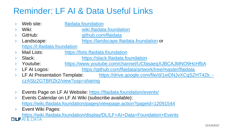# Reminder: LF AI & Data Useful Links

|        | Web site:                                                              | Ifaidata.foundation                                      |  |  |  |  |  |
|--------|------------------------------------------------------------------------|----------------------------------------------------------|--|--|--|--|--|
| $\sum$ | Wiki:                                                                  | wiki. If aid at a found ation                            |  |  |  |  |  |
|        | GitHub:                                                                | github.com/lfaidata                                      |  |  |  |  |  |
| $\sum$ | Landscape:                                                             | https://landscape.lfaidata.foundation or                 |  |  |  |  |  |
|        | https://l.lfaidata.foundation                                          |                                                          |  |  |  |  |  |
| $\sum$ | <b>Mail Lists:</b>                                                     | https://lists.lfaidata.foundation                        |  |  |  |  |  |
| $\sum$ | Slack:                                                                 | https://slack.lfaidata.foundation                        |  |  |  |  |  |
|        | Youtube:                                                               | https://www.youtube.com/channel/UCfasaeqXJBCAJMNO9HcHfbA |  |  |  |  |  |
| $\sum$ | LF AI Logos:                                                           | https://github.com/lfaidata/artwork/tree/master/lfaidata |  |  |  |  |  |
| $\sum$ | LF AI Presentation Template:                                           | https://drive.google.com/file/d/1eiDNJvXCqSZHT4Zk -      |  |  |  |  |  |
|        | czASIz2GTBRZk2/view?usp=sharing                                        |                                                          |  |  |  |  |  |
|        |                                                                        |                                                          |  |  |  |  |  |
| $\sum$ | Events Page on LF AI Website: https://lfaidata.foundation/events/      |                                                          |  |  |  |  |  |
| $\sum$ | Events Calendar on LF AI Wiki (subscribe available):                   |                                                          |  |  |  |  |  |
|        | https://wiki.lfaidata.foundation/pages/viewpage.action?pageId=12091544 |                                                          |  |  |  |  |  |
| $\sum$ | Event Wiki Pages:                                                      |                                                          |  |  |  |  |  |

<https://wiki.lfaidata.foundation/display/DL/LF+AI+Data+Foundation+Events>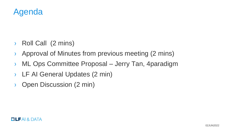

- › Roll Call (2 mins)
- › Approval of Minutes from previous meeting (2 mins)
- › ML Ops Committee Proposal Jerry Tan, 4paradigm
- › LF AI General Updates (2 min)
- › Open Discussion (2 min)

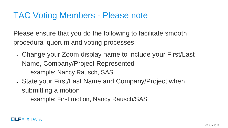# TAC Voting Members - Please note

Please ensure that you do the following to facilitate smooth procedural quorum and voting processes:

. Change your Zoom display name to include your First/Last Name, Company/Project Represented

• example: Nancy Rausch, SAS

- State your First/Last Name and Company/Project when submitting a motion
	- example: First motion, Nancy Rausch/SAS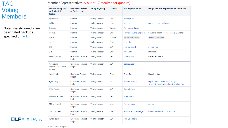## TAC Voting Members

Note: we still need a few designated backups specified on [wiki](https://wiki.lfaidata.foundation/pages/viewpage.action?pageId=7733341)

| <b>Member Company</b><br>or Graduated<br>Project | <b>Membership Level</b><br>or Project Level | <b>Voting Eligibility</b> | Country    | <b>TAC Representative</b> | <b>Designated TAC Representative Alternates</b>                                  |
|--------------------------------------------------|---------------------------------------------|---------------------------|------------|---------------------------|----------------------------------------------------------------------------------|
| 4paradigm                                        | Premier                                     | <b>Voting Member</b>      | China      | Zhongyi Tan               |                                                                                  |
| <b>Baidu</b>                                     | Premier                                     | <b>Voting Member</b>      | China      | Ti Zhou                   | Daxiang Dong, Yanjun Ma                                                          |
| Ericsson                                         | Premier                                     | <b>Voting Member</b>      | Sweden     | Rani Yadav-Ranjan         |                                                                                  |
| Huawei                                           | Premier                                     | <b>Voting Member</b>      | China      | Howard (Huang Zhipeng)    | Charlotte (Xiaoman Hu), Leon (Hui Wang)                                          |
| Nokia                                            | Premier                                     | <b>Voting Member</b>      | Finland    | @ Michael Rooke           | @ Jonne Soininen                                                                 |
| <b>OPPO</b>                                      | Premier                                     | <b>Voting Member</b>      | China      | Jimin Jia                 |                                                                                  |
| SAS                                              | Premier                                     | <b>Voting Member</b>      | <b>USA</b> | *Nancy Rausch             | JP Trawinski                                                                     |
| ZTE                                              | Premier                                     | <b>Voting Member</b>      | China      | Wei Meng                  | Liya Yuan                                                                        |
| <b>Acumos Project</b>                            | <b>Graduated Technical</b><br>Project       | <b>Voting Member</b>      | <b>USA</b> | Amit Kumar                | Prasanna Kulkarni                                                                |
| Adversarial<br>Robustness Toolbox<br>Project     | <b>Graduated Technical</b><br>Project       | <b>Voting Member</b>      | <b>USA</b> | <b>Beat Buesser</b>       |                                                                                  |
| Angel Project                                    | <b>Graduated Technical</b><br>Project       | <b>Voting Member</b>      | China      | <b>Bruce Tao</b>          | <b>Huaming Rao</b>                                                               |
| Egeria Project                                   | <b>Graduated Technical</b><br>Project       | <b>Voting Member</b>      | UK         | <b>Mandy Chessell</b>     | Nigel Jones, David Radley, Maryna<br>Strelchuk, Ljupcho Palashevski, Chris Grote |
| <b>Flyte Project</b>                             | <b>Graduated Technical</b><br>Project       | <b>Voting Member</b>      | <b>USA</b> | Ketan Umare               |                                                                                  |
| Horovod Project                                  | <b>Graduated Technical</b><br>Project       | <b>Voting Member</b>      | <b>USA</b> | <b>Travis Addair</b>      |                                                                                  |
| Milvus Project                                   | <b>Graduated Technical</b><br>Project       | <b>Voting Member</b>      | China      | Xiaofan Luan              | Jun Gu                                                                           |
| <b>ONNX Project</b>                              | <b>Graduated Technical</b><br>Project       | <b>Voting Member</b>      | <b>USA</b> | Alexandre Eichenberger    | Prasanth Pulavarthi, Jim Spohrer                                                 |
| Pyro Project                                     | <b>Graduated Technical</b><br>Project       | <b>Voting Member</b>      | <b>USA</b> | Fritz Obermeyer           |                                                                                  |

Member Representatives (9 out of 17 required for quorum)



\*Current TAC Chairperson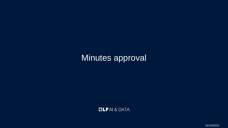# Minutes approval



02JUN2022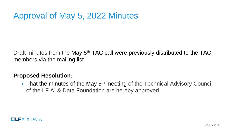# Approval of May 5, 2022 Minutes

Draft minutes from the May 5<sup>th</sup> TAC call were previously distributed to the TAC members via the mailing list

### **Proposed Resolution:**

 $\rightarrow$  That the minutes of the May 5<sup>th</sup> meeting of the Technical Advisory Council of the LF AI & Data Foundation are hereby approved.

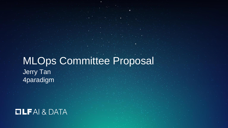# MLOps Committee Proposal Jerry Tan 4paradigm

# **OLFAI& DATA**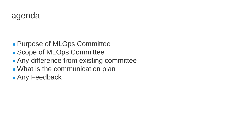- Purpose of MLOps Committee
- Scope of MLOps Committee
- Any difference from existing committee
- What is the communication plan
- Any Feedback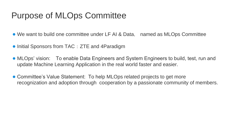# Purpose of MLOps Committee

- We want to build one committee under LF AI & Data, named as MLOps Committee
- Initial Sponsors from TAC: ZTE and 4Paradigm
- MLOps' vision: To enable Data Engineers and System Engineers to build, test, run and update Machine Learning Application in the real world faster and easier.
- Committee's Value Statement: To help MLOps related projects to get more recognization and adoption through cooperation by a passionate community of members.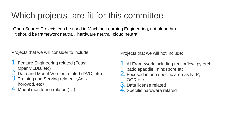# Which projects are fit for this committee

Open Source Projects can be used in Machine Learning Engineering, not algorithm. it should be framework neutral, hardware neutral, cloud neutral.

Projects that we will consider to include:

- 1. Feature Engineering related (Feast, OpenMLDB, etc)
- 2. Data and Model Version related (DVC, etc)
- 3. Training and Serving related (Adlik, horovod, etc)
- 4. Model monitoring related (…)

Projects that we will not include:

- 1. AI Framework including tensorflow, pytorch, paddlepaddle, mindspore,etc
- 2. Focused in one specific area as NLP, OCR,etc
- 3. Data license related
- 4. Specific hardware related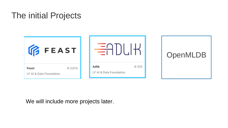# The initial Projects

| <b>IR FEAST</b>                            |                                           | <b>OpenMLDB</b> |
|--------------------------------------------|-------------------------------------------|-----------------|
| ★3,076<br>Feast<br>LF AI & Data Foundation | ★ 525<br>Adlik<br>LF AI & Data Foundation |                 |

We will include more projects later.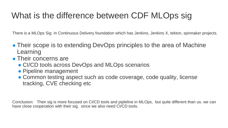# What is the difference between CDF MLOps sig

There is a MLOps Sig in Continuous Delivery foundation which has Jenkins, Jenkins X, tekton, spinnaker projects.

- Their scope is to extending DevOps principles to the area of Machine Learning
- Their concerns are
	- CI/CD tools across DevOps and MLOps scenarios
	- Pipeline management
	- Common testing aspect such as code coverage, code quality, license tracking, CVE checking etc

Conclusion: Their sig is more focused on CI/CD tools and pipleline in MLOps, but quite different than us. we can have close cooperation with their sig, since we also need CI/CD tools.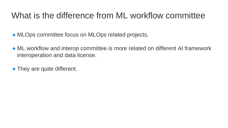# What is the difference from ML workflow committee

- MLOps committee focus on MLOps related projects.
- ML workflow and interop committee is more related on different AI framework interoperation and data license.
- They are quite different.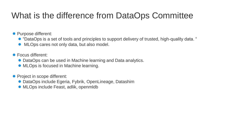# What is the difference from DataOps Committee

● Purpose different:

- "DataOps is a set of tools and principles to support delivery of trusted, high-quality data. "
- MLOps cares not only data, but also model.

● Focus different:

- DataOps can be used in Machine learning and Data analytics.
- MLOps is focused in Machine learning.

● Project in scope different:

- DataOps include Egeria, Fybrik, OpenLineage, Datashim
- MLOps include Feast, adlik, openmidb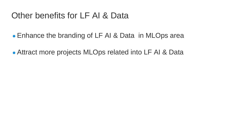# Other benefits for LF AI & Data

- Enhance the branding of LF AI & Data in MLOps area
- Attract more projects MLOps related into LF AI & Data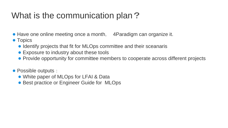# What is the communication plan?

- Have one online meeting once a month, 4Paradigm can organize it.
- Topics
	- Identify projects that fit for MLOps committee and their sceanaris
	- Exposure to industry about these tools
	- Provide opportunity for committee members to cooperate across different projects
- Possible outputs:
	- White paper of MLOps for LFAI & Data
	- Best practice or Engineer Guide for MLOps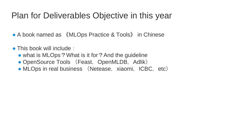# Plan for Deliverables Objective in this year

- A book named as 《MLOps Practice & Tools》 in Chinese
- This book will include:
	- what is MLOps? What is it for? And the guideline
	- OpenSource Tools (Feast, OpenMLDB, Adlik)
	- MLOps in real business (Netease, xiaomi, ICBC, etc)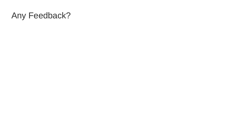# Any Feedback?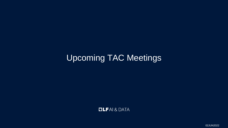# Upcoming TAC Meetings

**OLFAI& DATA** 

02JUN2022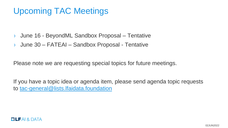# Upcoming TAC Meetings

- › June 16 BeyondML Sandbox Proposal Tentative
- › June 30 FATEAI Sandbox Proposal Tentative

Please note we are requesting special topics for future meetings.

If you have a topic idea or agenda item, please send agenda topic requests to [tac-general@lists.lfaidata.foundation](mailto:tac-general@lists.lfaidata.foundation)

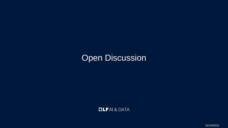# Open Discussion

**DLFAI& DATA** 

02JUN2022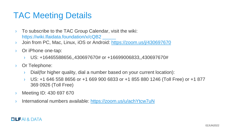# TAC Meeting Details

- › To subscribe to the TAC Group Calendar, visit the wiki: <https://wiki.lfaidata.foundation/x/cQB2>
- › Join from PC, Mac, Linux, iOS or Android:<https://zoom.us/j/430697670>
- › Or iPhone one-tap:
	- › US: +16465588656,,430697670# or +16699006833,,430697670#
- › Or Telephone:
	- › Dial(for higher quality, dial a number based on your current location):
	- › US: +1 646 558 8656 or +1 669 900 6833 or +1 855 880 1246 (Toll Free) or +1 877 369 0926 (Toll Free)
- › Meeting ID: 430 697 670
- International numbers available:<https://zoom.us/u/achYtcw7uN>

### $\Box$  LFAI & DATA